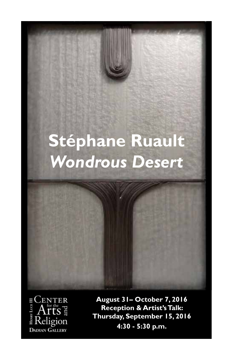# **Stéphane Ruault** *Wondrous Desert*



**August 31– October 7, 2016 Reception & Artist's Talk: Thursday, September 15, 2016 4:30 - 5:30 p.m.**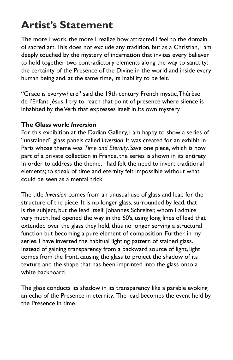# **Artist's Statement**

The more I work, the more I realize how attracted I feel to the domain of sacred art. This does not exclude any tradition, but as a Christian, I am deeply touched by the mystery of incarnation that invites every believer to hold together two contradictory elements along the way to sanctity: the certainty of the Presence of the Divine in the world and inside every human being and, at the same time, its inability to be felt.

"Grace is everywhere" said the 19th century French mystic, Thérèse de l'Enfant Jésus. I try to reach that point of presence where silence is inhabited by the Verb that expresses itself in its own mystery.

### **The Glass work:** *Inversion*

For this exhibition at the Dadian Gallery, I am happy to show a series of "unstained" glass panels called *Inversion*. It was created for an exhibit in Paris whose theme was *Time and Eternity*. Save one piece, which is now part of a private collection in France, the series is shown in its entirety. In order to address the theme, I had felt the need to invert traditional elements; to speak of time and eternity felt impossible without what could be seen as a mental trick.

The title *Inversion* comes from an unusual use of glass and lead for the structure of the piece. It is no longer glass, surrounded by lead, that is the subject, but the lead itself. Johannes Schreiter, whom I admire very much, had opened the way in the 60's, using long lines of lead that extended over the glass they held, thus no longer serving a structural function but becoming a pure element of composition. Further, in my series, I have inverted the habitual lighting pattern of stained glass. Instead of gaining transparency from a backward source of light, light comes from the front, causing the glass to project the shadow of its texture and the shape that has been imprinted into the glass onto a white backboard.

The glass conducts its shadow in its transparency like a parable evoking an echo of the Presence in eternity. The lead becomes the event held by the Presence in time.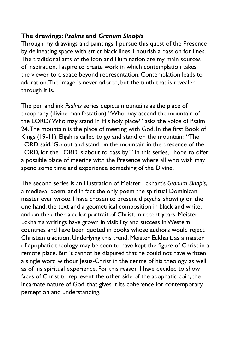### **The drawings:** *Psalms* **and** *Granum Sinapis*

Through my drawings and paintings, I pursue this quest of the Presence by delineating space with strict black lines. I nourish a passion for lines. The traditional arts of the icon and illumination are my main sources of inspiration. I aspire to create work in which contemplation takes the viewer to a space beyond representation. Contemplation leads to adoration. The image is never adored, but the truth that is revealed through it is.

The pen and ink *Psalms* series depicts mountains as the place of theophany (divine manifestation). "Who may ascend the mountain of the LORD? Who may stand in His holy place?" asks the voice of Psalm 24. The mountain is the place of meeting with God. In the first Book of Kings (19-11), Elijah is called to go and stand on the mountain: "The LORD said, 'Go out and stand on the mountain in the presence of the LORD, for the LORD is about to pass by.'" In this series, I hope to offer a possible place of meeting with the Presence where all who wish may spend some time and experience something of the Divine.

The second series is an illustration of Meister Eckhart's *Granum Sinapis*, a medieval poem, and in fact the only poem the spiritual Dominican master ever wrote. I have chosen to present diptychs, showing on the one hand, the text and a geometrical composition in black and white, and on the other, a color portrait of Christ. In recent years, Meister Eckhart's writings have grown in visibility and success in Western countries and have been quoted in books whose authors would reject Christian tradition. Underlying this trend, Meister Eckhart, as a master of apophatic theology, may be seen to have kept the figure of Christ in a remote place. But it cannot be disputed that he could not have written a single word without Jesus-Christ in the centre of his theology as well as of his spiritual experience. For this reason I have decided to show faces of Christ to represent the other side of the apophatic coin, the incarnate nature of God, that gives it its coherence for contemporary perception and understanding.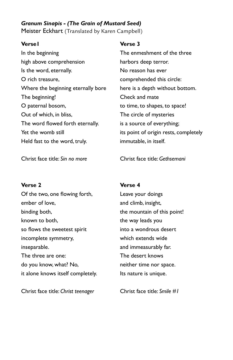### *Granum Sinapis - (The Grain of Mustard Seed)*  Meister Eckhart (Translated by Karen Campbell)

#### **Verse1**

In the beginning high above comprehension Is the word, eternally. O rich treasure, Where the beginning eternally bore The beginning! O paternal bosom, Out of which, in bliss, The word flowed forth eternally. Yet the womb still Held fast to the word, truly.

Christ face title: *Sin no more*

#### **Verse 2**

Of the two, one flowing forth, ember of love, binding both, known to both, so flows the sweetest spirit incomplete symmetry, inseparable. The three are one: do you know, what? No, it alone knows itself completely.

Christ face title: *Christ teenager*

#### **Verse 3**

The enmeshment of the three harbors deep terror. No reason has ever comprehended this circle: here is a depth without bottom. Check and mate to time, to shapes, to space! The circle of mysteries is a source of everything; its point of origin rests, completely immutable, in itself.

Christ face title: *Gethsemani*

#### **Verse 4**

Leave your doings and climb, insight, the mountain of this point! the way leads you into a wondrous desert which extends wide and immeasurably far. The desert knows neither time nor space. Its nature is unique.

Christ face title: *Smile #1*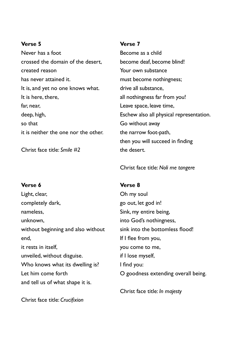#### **Verse 5**

Never has a foot crossed the domain of the desert, created reason has never attained it. It is, and yet no one knows what. It is here, there, far, near, deep, high, so that it is neither the one nor the other.

Christ face title: *Smile #2*

#### **Verse 7**

Become as a child become deaf, become blind! Your own substance must become nothingness; drive all substance, all nothingness far from you! Leave space, leave time, Eschew also all physical representation. Go without away the narrow foot-path, then you will succeed in finding the desert.

Christ face title: *Noli me tangere*

#### **Verse 6**

Light, clear, completely dark, nameless, unknown, without beginning and also without end, it rests in itself, unveiled, without disguise. Who knows what its dwelling is? Let him come forth and tell us of what shape it is.

#### **Verse 8**

Oh my soul go out, let god in! Sink, my entire being, into God's nothingness, sink into the bottomless flood! If I flee from you, you come to me, if I lose myself, I find you: O goodness extending overall being.

Christ face title: *In majesty*

Christ face title: *Crucifixion*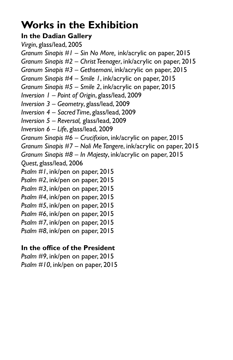# **Works in the Exhibition**

# **In the Dadian Gallery**

*Virgin*, glass/lead, 2005 *Granum Sinapis #1 – Sin No More,* ink/acrylic on paper, 2015 *Granum Sinapis #2 – Christ Teenager*, ink/acrylic on paper, 2015 *Granum Sinapis #3 – Gethsemani*, ink/acrylic on paper, 2015 *Granum Sinapis #4 – Smile 1*, ink/acrylic on paper, 2015 *Granum Sinapis #5 – Smile 2*, ink/acrylic on paper, 2015 *Inversion 1 – Point of Origin*, glass/lead, 2009 *Inversion 3 – Geometry*, glass/lead, 2009 *Inversion 4 – Sacred Time*, glass/lead, 2009 *Inversion 5 – Reversal,* glass/lead, 2009 *Inversion 6 – Life*, glass/lead, 2009 *Granum Sinapis #6 – Crucifixion*, ink/acrylic on paper, 2015 *Granum Sinapis #7 – Noli Me Tangere*, ink/acrylic on paper, 2015 *Granum Sinapis #8 – In Majesty*, ink/acrylic on paper, 2015 *Quest*, glass/lead, 2006 *Psalm #1*, ink/pen on paper, 2015 *Psalm #2*, ink/pen on paper, 2015 *Psalm #3*, ink/pen on paper, 2015 *Psalm #4*, ink/pen on paper, 2015 *Psalm #5*, ink/pen on paper, 2015 *Psalm #6*, ink/pen on paper, 2015 *Psalm #7*, ink/pen on paper, 2015 *Psalm #8*, ink/pen on paper, 2015

## **In the office of the President**

*Psalm #9*, ink/pen on paper, 2015 *Psalm #10*, ink/pen on paper, 2015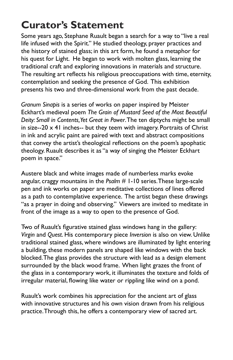# **Curator's Statement**

Some years ago, Stephane Ruault began a search for a way to "live a real life infused with the Spirit." He studied theology, prayer practices and the history of stained glass; in this art form, he found a metaphor for his quest for Light. He began to work with molten glass, learning the traditional craft and exploring innovations in materials and structure. The resulting art reflects his religious preoccupations with time, eternity, contemplation and seeking the presence of God. This exhibition presents his two and three-dimensional work from the past decade.

*Granum Sinapis* is a series of works on paper inspired by Meister Eckhart's medieval poem *The Grain of Mustard Seed of the Most Beautiful Deity: Small in Contents, Yet Great in Power*. The ten diptychs might be small in size--20  $\times$  41 inches-- but they teem with imagery. Portraits of Christ in ink and acrylic paint are paired with text and abstract compositions that convey the artist's theological reflections on the poem's apophatic theology. Ruault describes it as "a way of singing the Meister Eckhart poem in space."

Austere black and white images made of numberless marks evoke angular, craggy mountains in the *Psalm* # 1-10 series. These large-scale pen and ink works on paper are meditative collections of lines offered as a path to contemplative experience. The artist began these drawings "as a prayer in doing and observing." Viewers are invited to meditate in front of the image as a way to open to the presence of God.

Two of Ruault's figurative stained glass windows hang in the gallery: *Virgin* and *Quest*. His contemporary piece *Inversion* is also on view. Unlike traditional stained glass, where windows are illuminated by light entering a building, these modern panels are shaped like windows with the back blocked. The glass provides the structure with lead as a design element surrounded by the black wood frame. When light grazes the front of the glass in a contemporary work, it illuminates the texture and folds of irregular material, flowing like water or rippling like wind on a pond.

Ruault's work combines his appreciation for the ancient art of glass with innovative structures and his own vision drawn from his religious practice. Through this, he offers a contemporary view of sacred art.